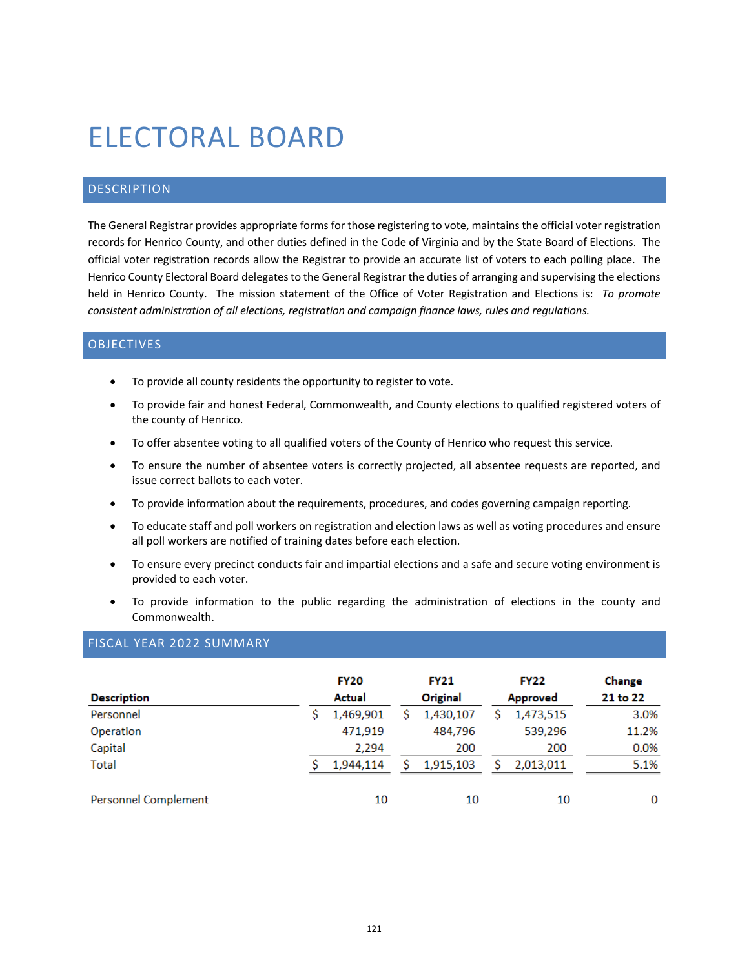# ELECTORAL BOARD

# DESCRIPTION

The General Registrar provides appropriate forms for those registering to vote, maintains the official voter registration records for Henrico County, and other duties defined in the Code of Virginia and by the State Board of Elections. The official voter registration records allow the Registrar to provide an accurate list of voters to each polling place. The Henrico County Electoral Board delegates to the General Registrar the duties of arranging and supervising the elections held in Henrico County. The mission statement of the Office of Voter Registration and Elections is: *To promote consistent administration of all elections, registration and campaign finance laws, rules and regulations.*

#### **OBJECTIVES**

- To provide all county residents the opportunity to register to vote.
- To provide fair and honest Federal, Commonwealth, and County elections to qualified registered voters of the county of Henrico.
- To offer absentee voting to all qualified voters of the County of Henrico who request this service.
- To ensure the number of absentee voters is correctly projected, all absentee requests are reported, and issue correct ballots to each voter.
- To provide information about the requirements, procedures, and codes governing campaign reporting.
- To educate staff and poll workers on registration and election laws as well as voting procedures and ensure all poll workers are notified of training dates before each election.
- To ensure every precinct conducts fair and impartial elections and a safe and secure voting environment is provided to each voter.
- To provide information to the public regarding the administration of elections in the county and Commonwealth.

# FISCAL YEAR 2022 SUMMARY

|                             | <b>FY20</b> |           | <b>FY21</b> |           | <b>FY22</b>     |           | Change   |
|-----------------------------|-------------|-----------|-------------|-----------|-----------------|-----------|----------|
| <b>Description</b>          |             | Actual    |             | Original  | <b>Approved</b> |           | 21 to 22 |
| Personnel                   |             | 1,469,901 |             | 1,430,107 |                 | 1,473,515 | 3.0%     |
| Operation                   |             | 471,919   |             | 484,796   |                 | 539,296   | 11.2%    |
| Capital                     |             | 2,294     |             | 200       |                 | 200       | 0.0%     |
| <b>Total</b>                |             | 1.944.114 |             | 1,915,103 |                 | 2,013,011 | 5.1%     |
| <b>Personnel Complement</b> |             | 10        |             | 10        |                 | 10        | 0        |